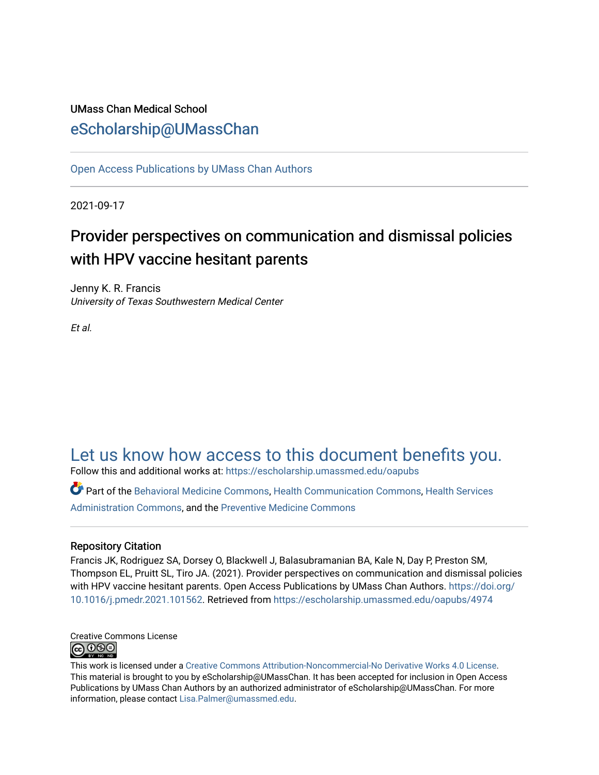# UMass Chan Medical School [eScholarship@UMassChan](https://escholarship.umassmed.edu/)

[Open Access Publications by UMass Chan Authors](https://escholarship.umassmed.edu/oapubs) 

2021-09-17

# Provider perspectives on communication and dismissal policies with HPV vaccine hesitant parents

Jenny K. R. Francis University of Texas Southwestern Medical Center

Et al.

# [Let us know how access to this document benefits you.](https://arcsapps.umassmed.edu/redcap/surveys/?s=XWRHNF9EJE)

Follow this and additional works at: [https://escholarship.umassmed.edu/oapubs](https://escholarship.umassmed.edu/oapubs?utm_source=escholarship.umassmed.edu%2Foapubs%2F4974&utm_medium=PDF&utm_campaign=PDFCoverPages) 

Part of the [Behavioral Medicine Commons](https://network.bepress.com/hgg/discipline/1405?utm_source=escholarship.umassmed.edu%2Foapubs%2F4974&utm_medium=PDF&utm_campaign=PDFCoverPages), [Health Communication Commons,](https://network.bepress.com/hgg/discipline/330?utm_source=escholarship.umassmed.edu%2Foapubs%2F4974&utm_medium=PDF&utm_campaign=PDFCoverPages) [Health Services](https://network.bepress.com/hgg/discipline/747?utm_source=escholarship.umassmed.edu%2Foapubs%2F4974&utm_medium=PDF&utm_campaign=PDFCoverPages) [Administration Commons,](https://network.bepress.com/hgg/discipline/747?utm_source=escholarship.umassmed.edu%2Foapubs%2F4974&utm_medium=PDF&utm_campaign=PDFCoverPages) and the [Preventive Medicine Commons](https://network.bepress.com/hgg/discipline/703?utm_source=escholarship.umassmed.edu%2Foapubs%2F4974&utm_medium=PDF&utm_campaign=PDFCoverPages) 

# Repository Citation

Francis JK, Rodriguez SA, Dorsey O, Blackwell J, Balasubramanian BA, Kale N, Day P, Preston SM, Thompson EL, Pruitt SL, Tiro JA. (2021). Provider perspectives on communication and dismissal policies with HPV vaccine hesitant parents. Open Access Publications by UMass Chan Authors. [https://doi.org/](https://doi.org/10.1016/j.pmedr.2021.101562) [10.1016/j.pmedr.2021.101562.](https://doi.org/10.1016/j.pmedr.2021.101562) Retrieved from [https://escholarship.umassmed.edu/oapubs/4974](https://escholarship.umassmed.edu/oapubs/4974?utm_source=escholarship.umassmed.edu%2Foapubs%2F4974&utm_medium=PDF&utm_campaign=PDFCoverPages) 



This work is licensed under a [Creative Commons Attribution-Noncommercial-No Derivative Works 4.0 License.](http://creativecommons.org/licenses/by-nc-nd/4.0/) This material is brought to you by eScholarship@UMassChan. It has been accepted for inclusion in Open Access Publications by UMass Chan Authors by an authorized administrator of eScholarship@UMassChan. For more information, please contact [Lisa.Palmer@umassmed.edu.](mailto:Lisa.Palmer@umassmed.edu)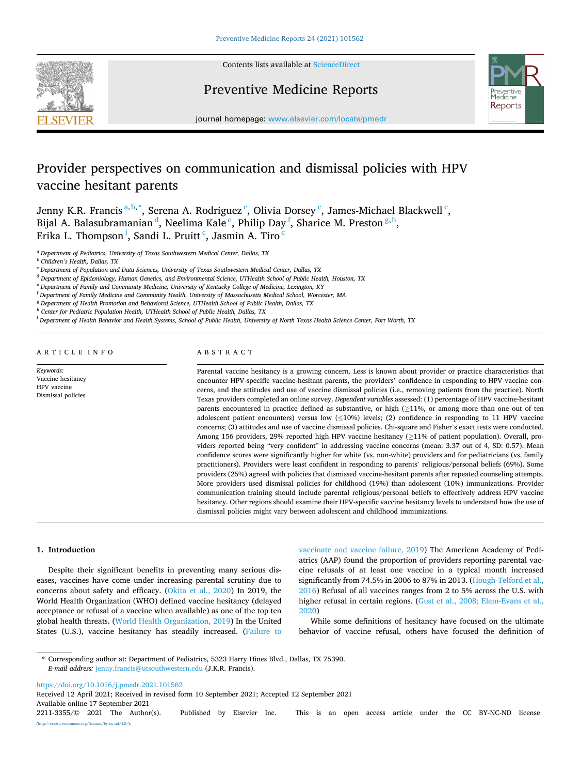

Contents lists available at [ScienceDirect](www.sciencedirect.com/science/journal/22113355)

# Preventive Medicine Reports



journal homepage: [www.elsevier.com/locate/pmedr](https://www.elsevier.com/locate/pmedr) 

# Provider perspectives on communication and dismissal policies with HPV vaccine hesitant parents

Jenny K.R. Francis <sup>a, b, \*</sup>, Serena A. Rodriguez <sup>c</sup>, Olivia Dorsey <sup>c</sup>, James-Michael Blackwell <sup>c</sup>, Bijal A. Balasubramanian $^{\tt d}$ , Neelima Kale  $^{\tt e}$ , Philip Day  $^{\tt f}$ , Sharice M. Preston $^{\tt g,h},$ Erika L. Thompson $^{\rm i}$ , Sandi L. Pruitt $^{\rm c}$ , Jasmin A. Tiro $^{\rm c}$ 

<sup>a</sup> *Department of Pediatrics, University of Texas Southwestern Medical Center, Dallas, TX* 

<sup>d</sup> *Department of Epidemiology, Human Genetics, and Environmental Science, UTHealth School of Public Health, Houston, TX* 

<sup>f</sup> *Department of Family Medicine and Community Health, University of Massachusetts Medical School, Worcester, MA* 

<sup>i</sup> *Department of Health Behavior and Health Systems, School of Public Health, University of North Texas Health Science Center, Fort Worth, TX* 

*Keywords:* 

ARTICLE INFO

Vaccine hesitancy HPV vaccine Dismissal policies

# ABSTRACT

Parental vaccine hesitancy is a growing concern. Less is known about provider or practice characteristics that encounter HPV-specific vaccine-hesitant parents, the providers' confidence in responding to HPV vaccine concerns, and the attitudes and use of vaccine dismissal policies (i.e., removing patients from the practice). North Texas providers completed an online survey. *Dependent variables* assessed: (1) percentage of HPV vaccine-hesitant parents encountered in practice defined as substantive, or high (≥11%, or among more than one out of ten adolescent patient encounters) versus low (≤10%) levels; (2) confidence in responding to 11 HPV vaccine concerns; (3) attitudes and use of vaccine dismissal policies. Chi-square and Fisher's exact tests were conducted. Among 156 providers, 29% reported high HPV vaccine hesitancy (≥11% of patient population). Overall, providers reported being "very confident" in addressing vaccine concerns (mean: 3.37 out of 4, SD: 0.57). Mean confidence scores were significantly higher for white (vs. non-white) providers and for pediatricians (vs. family practitioners). Providers were least confident in responding to parents' religious/personal beliefs (69%). Some providers (25%) agreed with policies that dismissed vaccine-hesitant parents after repeated counseling attempts. More providers used dismissal policies for childhood (19%) than adolescent (10%) immunizations. Provider communication training should include parental religious/personal beliefs to effectively address HPV vaccine hesitancy. Other regions should examine their HPV-specific vaccine hesitancy levels to understand how the use of dismissal policies might vary between adolescent and childhood immunizations.

#### **1. Introduction**

Despite their significant benefits in preventing many serious diseases, vaccines have come under increasing parental scrutiny due to concerns about safety and efficacy. ([Okita et al., 2020\)](#page-7-0) In 2019, the World Health Organization (WHO) defined vaccine hesitancy (delayed acceptance or refusal of a vaccine when available) as one of the top ten global health threats. [\(World Health Organization, 2019\)](#page-7-0) In the United States (U.S.), vaccine hesitancy has steadily increased. [\(Failure to](#page-7-0) 

[vaccinate and vaccine failure, 2019\)](#page-7-0) The American Academy of Pediatrics (AAP) found the proportion of providers reporting parental vaccine refusals of at least one vaccine in a typical month increased significantly from 74.5% in 2006 to 87% in 2013. ([Hough-Telford et al.,](#page-7-0)  [2016\)](#page-7-0) Refusal of all vaccines ranges from 2 to 5% across the U.S. with higher refusal in certain regions. [\(Gust et al., 2008; Elam-Evans et al.,](#page-7-0)  [2020\)](#page-7-0)

While some definitions of hesitancy have focused on the ultimate behavior of vaccine refusal, others have focused the definition of

<https://doi.org/10.1016/j.pmedr.2021.101562>

Available online 17 September 2021 2211-3355/© 2021 The Author(s). Published by Elsevier Inc. This is an open access article under the CC BY-NC-ND license [\(http://creativecommons.org/licenses/by-nc-nd/4.0/\)](http://creativecommons.org/licenses/by-nc-nd/4.0/). Received 12 April 2021; Received in revised form 10 September 2021; Accepted 12 September 2021

<sup>b</sup> *Children's Health, Dallas, TX* 

<sup>c</sup> *Department of Population and Data Sciences, University of Texas Southwestern Medical Center, Dallas, TX* 

<sup>e</sup> *Department of Family and Community Medicine, University of Kentucky College of Medicine, Lexington, KY* 

<sup>g</sup> *Department of Health Promotion and Behavioral Science, UTHealth School of Public Health, Dallas, TX* 

<sup>h</sup> *Center for Pediatric Population Health, UTHealth School of Public Health, Dallas, TX* 

<sup>\*</sup> Corresponding author at: Department of Pediatrics, 5323 Harry Hines Blvd., Dallas, TX 75390. *E-mail address:* [jenny.francis@utsouthwestern.edu](mailto:jenny.francis@utsouthwestern.edu) (J.K.R. Francis).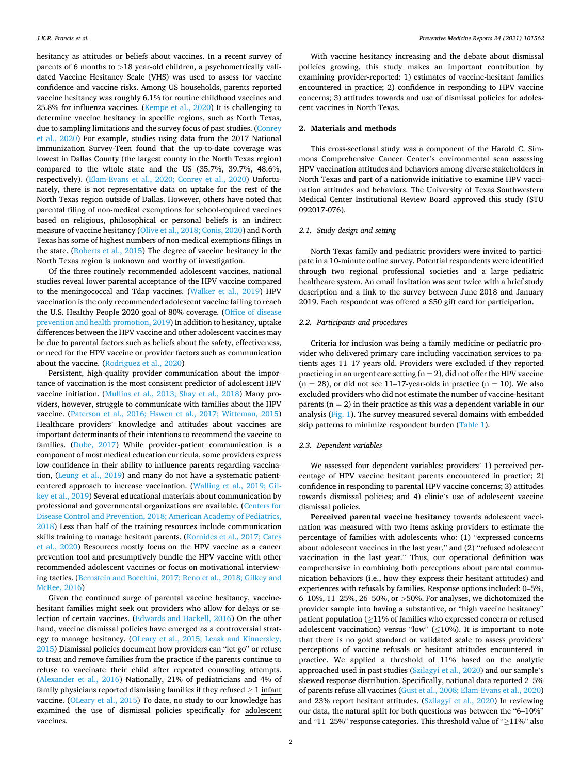hesitancy as attitudes or beliefs about vaccines. In a recent survey of parents of 6 months to *>*18 year-old children, a psychometrically validated Vaccine Hesitancy Scale (VHS) was used to assess for vaccine confidence and vaccine risks. Among US households, parents reported vaccine hesitancy was roughly 6.1% for routine childhood vaccines and 25.8% for influenza vaccines. [\(Kempe et al., 2020](#page-7-0)) It is challenging to determine vaccine hesitancy in specific regions, such as North Texas, due to sampling limitations and the survey focus of past studies. ([Conrey](#page-7-0)  [et al., 2020](#page-7-0)) For example, studies using data from the 2017 National Immunization Survey-Teen found that the up-to-date coverage was lowest in Dallas County (the largest county in the North Texas region) compared to the whole state and the US (35.7%, 39.7%, 48.6%, respectively). [\(Elam-Evans et al., 2020; Conrey et al., 2020](#page-7-0)) Unfortunately, there is not representative data on uptake for the rest of the North Texas region outside of Dallas. However, others have noted that parental filing of non-medical exemptions for school-required vaccines based on religious, philosophical or personal beliefs is an indirect measure of vaccine hesitancy ([Olive et al., 2018; Conis, 2020\)](#page-7-0) and North Texas has some of highest numbers of non-medical exemptions filings in the state. ([Roberts et al., 2015\)](#page-7-0) The degree of vaccine hesitancy in the North Texas region is unknown and worthy of investigation.

Of the three routinely recommended adolescent vaccines, national studies reveal lower parental acceptance of the HPV vaccine compared to the meningococcal and Tdap vaccines. [\(Walker et al., 2019](#page-7-0)) HPV vaccination is the only recommended adolescent vaccine failing to reach the U.S. Healthy People 2020 goal of 80% coverage. [\(Office of disease](#page-7-0)  [prevention and health promotion, 2019\)](#page-7-0) In addition to hesitancy, uptake differences between the HPV vaccine and other adolescent vaccines may be due to parental factors such as beliefs about the safety, effectiveness, or need for the HPV vaccine or provider factors such as communication about the vaccine. ([Rodriguez et al., 2020](#page-7-0))

Persistent, high-quality provider communication about the importance of vaccination is the most consistent predictor of adolescent HPV vaccine initiation. ([Mullins et al., 2013; Shay et al., 2018](#page-7-0)) Many providers, however, struggle to communicate with families about the HPV vaccine. ([Paterson et al., 2016; Hswen et al., 2017; Witteman, 2015\)](#page-7-0) Healthcare providers' knowledge and attitudes about vaccines are important determinants of their intentions to recommend the vaccine to families. [\(Dube, 2017\)](#page-7-0) While provider-patient communication is a component of most medical education curricula, some providers express low confidence in their ability to influence parents regarding vaccination, ([Leung et al., 2019\)](#page-7-0) and many do not have a systematic patientcentered approach to increase vaccination. [\(Walling et al., 2019; Gil](#page-7-0)[key et al., 2019](#page-7-0)) Several educational materials about communication by professional and governmental organizations are available. [\(Centers for](#page-7-0)  [Disease Control and Prevention, 2018; American Academy of Pediatrics,](#page-7-0)  [2018\)](#page-7-0) Less than half of the training resources include communication skills training to manage hesitant parents. ([Kornides et al., 2017; Cates](#page-7-0)  [et al., 2020\)](#page-7-0) Resources mostly focus on the HPV vaccine as a cancer prevention tool and presumptively bundle the HPV vaccine with other recommended adolescent vaccines or focus on motivational interviewing tactics. [\(Bernstein and Bocchini, 2017; Reno et al., 2018; Gilkey and](#page-7-0)  [McRee, 2016\)](#page-7-0)

Given the continued surge of parental vaccine hesitancy, vaccinehesitant families might seek out providers who allow for delays or selection of certain vaccines. ([Edwards and Hackell, 2016](#page-7-0)) On the other hand, vaccine dismissal policies have emerged as a controversial strategy to manage hesitancy. [\(OLeary et al., 2015; Leask and Kinnersley,](#page-7-0)  [2015\)](#page-7-0) Dismissal policies document how providers can "let go" or refuse to treat and remove families from the practice if the parents continue to refuse to vaccinate their child after repeated counseling attempts. ([Alexander et al., 2016](#page-7-0)) Nationally, 21% of pediatricians and 4% of family physicians reported dismissing families if they refused  $\geq 1$  infant vaccine. [\(OLeary et al., 2015\)](#page-7-0) To date, no study to our knowledge has examined the use of dismissal policies specifically for adolescent vaccines.

With vaccine hesitancy increasing and the debate about dismissal policies growing, this study makes an important contribution by examining provider-reported: 1) estimates of vaccine-hesitant families encountered in practice; 2) confidence in responding to HPV vaccine concerns; 3) attitudes towards and use of dismissal policies for adolescent vaccines in North Texas.

### **2. Materials and methods**

This cross-sectional study was a component of the Harold C. Simmons Comprehensive Cancer Center's environmental scan assessing HPV vaccination attitudes and behaviors among diverse stakeholders in North Texas and part of a nationwide initiative to examine HPV vaccination attitudes and behaviors. The University of Texas Southwestern Medical Center Institutional Review Board approved this study (STU 092017-076).

# *2.1. Study design and setting*

North Texas family and pediatric providers were invited to participate in a 10-minute online survey. Potential respondents were identified through two regional professional societies and a large pediatric healthcare system. An email invitation was sent twice with a brief study description and a link to the survey between June 2018 and January 2019. Each respondent was offered a \$50 gift card for participation.

# *2.2. Participants and procedures*

Criteria for inclusion was being a family medicine or pediatric provider who delivered primary care including vaccination services to patients ages 11–17 years old. Providers were excluded if they reported practicing in an urgent care setting  $(n = 2)$ , did not offer the HPV vaccine  $(n = 28)$ , or did not see 11–17-year-olds in practice  $(n = 10)$ . We also excluded providers who did not estimate the number of vaccine-hesitant parents ( $n = 2$ ) in their practice as this was a dependent variable in our analysis ([Fig. 1](#page-3-0)**)**. The survey measured several domains with embedded skip patterns to minimize respondent burden ([Table 1](#page-3-0)).

# *2.3. Dependent variables*

We assessed four dependent variables: providers' 1) perceived percentage of HPV vaccine hesitant parents encountered in practice; 2) confidence in responding to parental HPV vaccine concerns; 3) attitudes towards dismissal policies; and 4) clinic's use of adolescent vaccine dismissal policies.

**Perceived parental vaccine hesitancy** towards adolescent vaccination was measured with two items asking providers to estimate the percentage of families with adolescents who: (1) "expressed concerns about adolescent vaccines in the last year," and (2) "refused adolescent vaccination in the last year." Thus, our operational definition was comprehensive in combining both perceptions about parental communication behaviors (i.e., how they express their hesitant attitudes) and experiences with refusals by families. Response options included: 0–5%, 6–10%, 11–25%, 26–50%, or *>*50%. For analyses, we dichotomized the provider sample into having a substantive, or "high vaccine hesitancy" patient population (≥11% of families who expressed concern or refused adolescent vaccination) versus "low" ( $\leq$ 10%). It is important to note that there is no gold standard or validated scale to assess providers' perceptions of vaccine refusals or hesitant attitudes encountered in practice. We applied a threshold of 11% based on the analytic approached used in past studies [\(Szilagyi et al., 2020\)](#page-7-0) and our sample's skewed response distribution. Specifically, national data reported 2–5% of parents refuse all vaccines ([Gust et al., 2008; Elam-Evans et al., 2020\)](#page-7-0) and 23% report hesitant attitudes. [\(Szilagyi et al., 2020\)](#page-7-0) In reviewing our data, the natural split for both questions was between the "6–10%" and "11–25%" response categories. This threshold value of "≥11%" also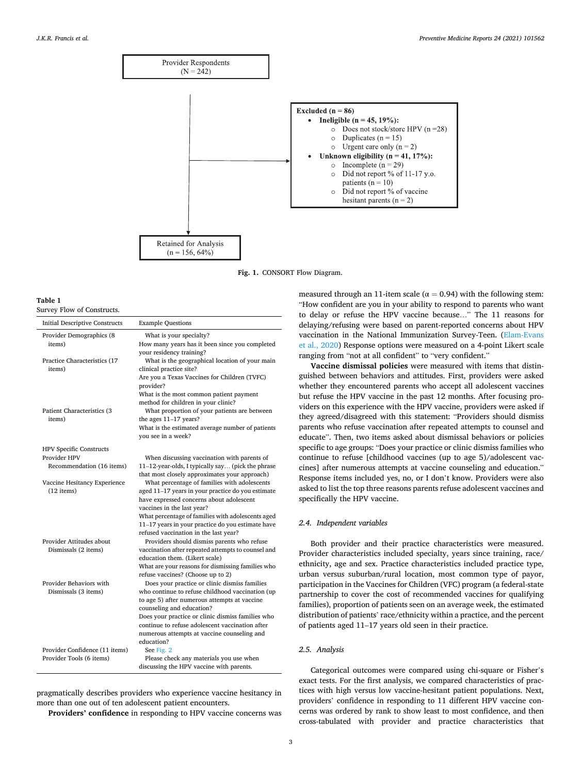<span id="page-3-0"></span>

**Fig. 1.** CONSORT Flow Diagram.

#### **Table 1**

Survey Flow of Constructs.

| Initial Descriptive Constructs         | <b>Example Questions</b>                                                                              |
|----------------------------------------|-------------------------------------------------------------------------------------------------------|
| Provider Demographics (8<br>items)     | What is your specialty?<br>How many years has it been since you completed<br>your residency training? |
| Practice Characteristics (17<br>items) | What is the geographical location of your main<br>clinical practice site?                             |
|                                        | Are you a Texas Vaccines for Children (TVFC)<br>provider?                                             |
|                                        | What is the most common patient payment<br>method for children in your clinic?                        |
| Patient Characteristics (3<br>items)   | What proportion of your patients are between<br>the ages $11-17$ years?                               |
|                                        | What is the estimated average number of patients<br>you see in a week?                                |
| <b>HPV Specific Constructs</b>         |                                                                                                       |
| Provider HPV                           | When discussing vaccination with parents of                                                           |
| Recommendation (16 items)              | 11-12-year-olds, I typically say (pick the phrase<br>that most closely approximates your approach)    |
| Vaccine Hesitancy Experience           | What percentage of families with adolescents                                                          |
| $(12$ items)                           | aged 11-17 years in your practice do you estimate<br>have expressed concerns about adolescent         |
|                                        | vaccines in the last year?                                                                            |
|                                        | What percentage of families with adolescents aged                                                     |
|                                        | 11-17 years in your practice do you estimate have<br>refused vaccination in the last year?            |
| Provider Attitudes about               | Providers should dismiss parents who refuse                                                           |
| Dismissals (2 items)                   | vaccination after repeated attempts to counsel and<br>education them. (Likert scale)                  |
|                                        | What are your reasons for dismissing families who                                                     |
|                                        | refuse vaccines? (Choose up to 2)                                                                     |
| Provider Behaviors with                | Does your practice or clinic dismiss families                                                         |
| Dismissals (3 items)                   | who continue to refuse childhood vaccination (up                                                      |
|                                        | to age 5) after numerous attempts at vaccine                                                          |
|                                        | counseling and education?                                                                             |
|                                        | Does your practice or clinic dismiss families who                                                     |
|                                        | continue to refuse adolescent vaccination after                                                       |
|                                        | numerous attempts at vaccine counseling and<br>education?                                             |
| Provider Confidence (11 items)         | See Fig. 2                                                                                            |
| Provider Tools (6 items)               | Please check any materials you use when                                                               |
|                                        | discussing the HPV vaccine with parents.                                                              |

pragmatically describes providers who experience vaccine hesitancy in more than one out of ten adolescent patient encounters.

**Providers' confidence** in responding to HPV vaccine concerns was

measured through an 11-item scale ( $\alpha$  = 0.94) with the following stem: "How confident are you in your ability to respond to parents who want to delay or refuse the HPV vaccine because…" The 11 reasons for delaying/refusing were based on parent-reported concerns about HPV vaccination in the National Immunization Survey-Teen. ([Elam-Evans](#page-7-0)  [et al., 2020\)](#page-7-0) Response options were measured on a 4-point Likert scale ranging from "not at all confident" to "very confident."

**Vaccine dismissal policies** were measured with items that distinguished between behaviors and attitudes. First, providers were asked whether they encountered parents who accept all adolescent vaccines but refuse the HPV vaccine in the past 12 months. After focusing providers on this experience with the HPV vaccine, providers were asked if they agreed/disagreed with this statement: "Providers should dismiss parents who refuse vaccination after repeated attempts to counsel and educate". Then, two items asked about dismissal behaviors or policies specific to age groups: "Does your practice or clinic dismiss families who continue to refuse [childhood vaccines (up to age 5)/adolescent vaccines] after numerous attempts at vaccine counseling and education." Response items included yes, no, or I don't know. Providers were also asked to list the top three reasons parents refuse adolescent vaccines and specifically the HPV vaccine.

## *2.4. Independent variables*

Both provider and their practice characteristics were measured. Provider characteristics included specialty, years since training, race/ ethnicity, age and sex. Practice characteristics included practice type, urban versus suburban/rural location, most common type of payor, participation in the Vaccines for Children (VFC) program (a federal-state partnership to cover the cost of recommended vaccines for qualifying families), proportion of patients seen on an average week, the estimated distribution of patients' race/ethnicity within a practice, and the percent of patients aged 11–17 years old seen in their practice.

#### *2.5. Analysis*

Categorical outcomes were compared using chi-square or Fisher's exact tests. For the first analysis, we compared characteristics of practices with high versus low vaccine-hesitant patient populations. Next, providers' confidence in responding to 11 different HPV vaccine concerns was ordered by rank to show least to most confidence, and then cross-tabulated with provider and practice characteristics that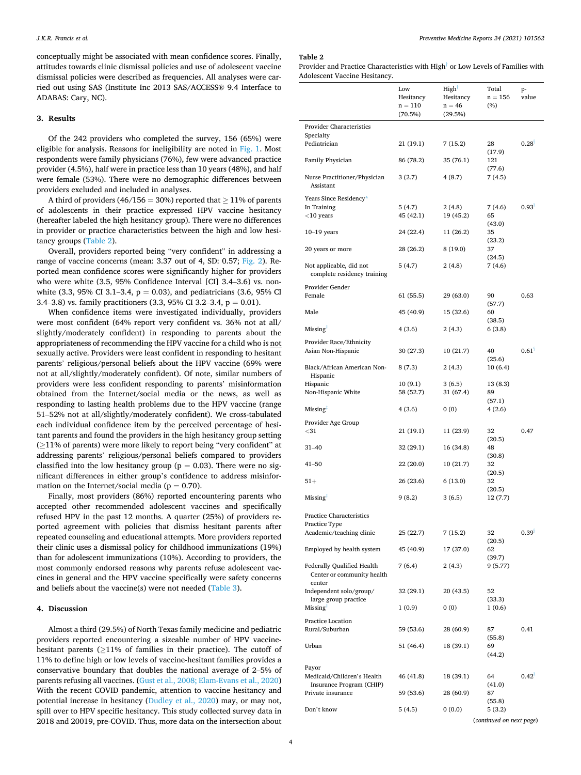conceptually might be associated with mean confidence scores. Finally, attitudes towards clinic dismissal policies and use of adolescent vaccine dismissal policies were described as frequencies. All analyses were carried out using SAS (Institute Inc 2013 SAS/ACCESS® 9.4 Interface to ADABAS: Cary, NC).

#### **3. Results**

Of the 242 providers who completed the survey, 156 (65%) were eligible for analysis. Reasons for ineligibility are noted in [Fig. 1](#page-3-0). Most respondents were family physicians (76%), few were advanced practice provider (4.5%), half were in practice less than 10 years (48%), and half were female (53%). There were no demographic differences between providers excluded and included in analyses.

A third of providers (46/156 = 30%) reported that  $\geq$  11% of parents of adolescents in their practice expressed HPV vaccine hesitancy (hereafter labeled the high hesitancy group). There were no differences in provider or practice characteristics between the high and low hesitancy groups (Table 2).

Overall, providers reported being "very confident" in addressing a range of vaccine concerns (mean: 3.37 out of 4, SD: 0.57; [Fig. 2\)](#page-6-0). Reported mean confidence scores were significantly higher for providers who were white (3.5, 95% Confidence Interval [CI] 3.4–3.6) vs. nonwhite (3.3, 95% CI 3.1–3.4,  $p = 0.03$ ), and pediatricians (3.6, 95% CI 3.4–3.8) vs. family practitioners (3.3, 95% CI 3.2–3.4, p = 0.01).

When confidence items were investigated individually, providers were most confident (64% report very confident vs. 36% not at all/ slightly/moderately confident) in responding to parents about the appropriateness of recommending the HPV vaccine for a child who is not sexually active. Providers were least confident in responding to hesitant parents' religious/personal beliefs about the HPV vaccine (69% were not at all/slightly/moderately confident). Of note, similar numbers of providers were less confident responding to parents' misinformation obtained from the Internet/social media or the news, as well as responding to lasting health problems due to the HPV vaccine (range 51–52% not at all/slightly/moderately confident). We cross-tabulated each individual confidence item by the perceived percentage of hesitant parents and found the providers in the high hesitancy group setting (≥11% of parents) were more likely to report being "very confident" at addressing parents' religious/personal beliefs compared to providers classified into the low hesitancy group ( $p = 0.03$ ). There were no significant differences in either group's confidence to address misinformation on the Internet/social media ( $p = 0.70$ ).

Finally, most providers (86%) reported encountering parents who accepted other recommended adolescent vaccines and specifically refused HPV in the past 12 months. A quarter (25%) of providers reported agreement with policies that dismiss hesitant parents after repeated counseling and educational attempts. More providers reported their clinic uses a dismissal policy for childhood immunizations (19%) than for adolescent immunizations (10%). According to providers, the most commonly endorsed reasons why parents refuse adolescent vaccines in general and the HPV vaccine specifically were safety concerns and beliefs about the vaccine(s) were not needed ([Table 3\)](#page-6-0).

## **4. Discussion**

Almost a third (29.5%) of North Texas family medicine and pediatric providers reported encountering a sizeable number of HPV vaccinehesitant parents ( $\geq$ 11% of families in their practice). The cutoff of 11% to define high or low levels of vaccine-hesitant families provides a conservative boundary that doubles the national average of 2–5% of parents refusing all vaccines. ([Gust et al., 2008; Elam-Evans et al., 2020\)](#page-7-0) With the recent COVID pandemic, attention to vaccine hesitancy and potential increase in hesitancy [\(Dudley et al., 2020](#page-7-0)) may, or may not, spill over to HPV specific hesitancy. This study collected survey data in 2018 and 20019, pre-COVID. Thus, more data on the intersection about **Table 2** 

| Provider and Practice Characteristics with High <sup>†</sup> or Low Levels of Families with |  |
|---------------------------------------------------------------------------------------------|--|
| Adolescent Vaccine Hesitancy.                                                               |  |

|                                                                 | Low<br>Hesitancy | High <sup>1</sup><br>Hesitancy | Total<br>$n = 156$       | p-<br>value       |
|-----------------------------------------------------------------|------------------|--------------------------------|--------------------------|-------------------|
|                                                                 | $n = 110$        | $n = 46$                       | $(\%)$                   |                   |
|                                                                 | (70.5%)          | (29.5%)                        |                          |                   |
| Provider Characteristics                                        |                  |                                |                          |                   |
| Specialty<br>Pediatrician                                       | 21 (19.1)        | 7 (15.2)                       | 28<br>(17.9)             | $0.28^{5}$        |
| Family Physician                                                | 86 (78.2)        | 35 (76.1)                      | 121<br>(77.6)            |                   |
| Nurse Practitioner/Physician<br>Assistant                       | 3(2.7)           | 4(8.7)                         | 7(4.5)                   |                   |
| Years Since Residency*                                          |                  |                                |                          |                   |
| In Training                                                     | 5(4.7)           | 2(4.8)                         | 7(4.6)                   | $0.93^{8}$        |
| $<$ 10 years                                                    | 45 (42.1)        | 19 (45.2)                      | 65<br>(43.0)             |                   |
| $10-19$ years                                                   | 24 (22.4)        | 11 (26.2)                      | 35<br>(23.2)             |                   |
| 20 years or more                                                | 28 (26.2)        | 8 (19.0)                       | 37<br>(24.5)             |                   |
| Not applicable, did not<br>complete residency training          | 5(4.7)           | 2(4.8)                         | 7 (4.6)                  |                   |
| Provider Gender                                                 |                  |                                |                          |                   |
| Female                                                          | 61 (55.5)        | 29 (63.0)                      | 90<br>(57.7)             | 0.63              |
| Male                                                            | 45 (40.9)        | 15 (32.6)                      | 60<br>(38.5)             |                   |
| Missing                                                         | 4(3.6)           | 2(4.3)                         | 6(3.8)                   |                   |
| Provider Race/Ethnicity<br>Asian Non-Hispanic                   | 30 (27.3)        | 10(21.7)                       | 40                       | 0.61 <sup>8</sup> |
| Black/African American Non-<br>Hispanic                         | 8(7.3)           | 2(4.3)                         | (25.6)<br>10(6.4)        |                   |
| Hispanic                                                        | 10 (9.1)         | 3(6.5)                         | 13 (8.3)                 |                   |
| Non-Hispanic White                                              | 58 (52.7)        | 31 (67.4)                      | 89<br>(57.1)             |                   |
| $Missing+$                                                      | 4(3.6)           | 0(0)                           | 4 (2.6)                  |                   |
| Provider Age Group<br>$<$ 31                                    |                  |                                |                          |                   |
|                                                                 | 21 (19.1)        | 11 (23.9)                      | 32<br>(20.5)             | 0.47              |
| 31–40                                                           | 32 (29.1)        | 16 (34.8)                      | 48<br>(30.8)             |                   |
| $41 - 50$                                                       | 22 (20.0)        | 10 (21.7)                      | 32<br>(20.5)             |                   |
| $51+$                                                           | 26 (23.6)        | 6 (13.0)                       | 32<br>(20.5)             |                   |
| Missing                                                         | 9(8.2)           | 3(6.5)                         | 12 (7.7)                 |                   |
| Practice Characteristics                                        |                  |                                |                          |                   |
| Practice Type<br>Academic/teaching clinic                       | 25 (22.7)        | 7(15.2)                        | 32                       | 0.39 <sup>3</sup> |
| Employed by health system                                       | 45 (40.9)        | 17 (37.0)                      | (20.5)<br>62             |                   |
| <b>Federally Qualified Health</b><br>Center or community health | 7(6.4)           | 2(4.3)                         | (39.7)<br>9 (5.77)       |                   |
| center<br>Independent solo/group/                               | 32 (29.1)        | 20 (43.5)                      | 52                       |                   |
| large group practice<br>Missing <sup>+</sup>                    | 1(0.9)           | 0(0)                           | (33.3)<br>1(0.6)         |                   |
| Practice Location<br>Rural/Suburban                             | 59 (53.6)        | 28 (60.9)                      | 87                       | 0.41              |
| Urban                                                           | 51 (46.4)        | 18 (39.1)                      | (55.8)<br>69             |                   |
|                                                                 |                  |                                | (44.2)                   |                   |
| Payor<br>Medicaid/Children's Health                             | 46 (41.8)        | 18 (39.1)                      | 64                       | 0.42              |
| Insurance Program (CHIP)<br>Private insurance                   | 59 (53.6)        | 28 (60.9)                      | (41.0)<br>87             |                   |
| Don't know                                                      | 5(4.5)           | 0(0.0)                         | (55.8)<br>5(3.2)         |                   |
|                                                                 |                  |                                | (continued on next page) |                   |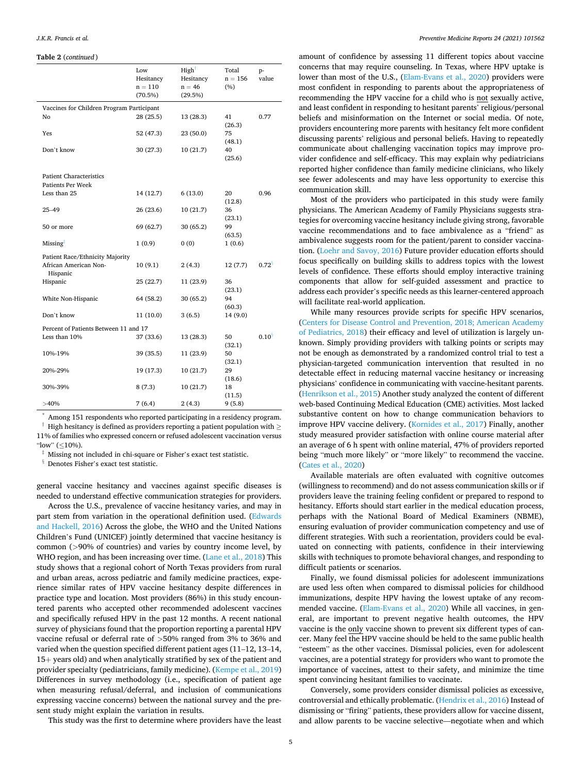#### <span id="page-5-0"></span>**Table 2** (*continued* )

|                                                            | Low<br>Hesitancy<br>$n = 110$<br>$(70.5\%)$ | High<br>Hesitancy<br>$n = 46$<br>(29.5%) | Total<br>$n = 156$<br>(%) | p-<br>value       |
|------------------------------------------------------------|---------------------------------------------|------------------------------------------|---------------------------|-------------------|
| Vaccines for Children Program Participant                  |                                             |                                          |                           |                   |
| No                                                         | 28(25.5)                                    | 13 (28.3)                                | 41<br>(26.3)              | 0.77              |
| Yes                                                        | 52 (47.3)                                   | 23 (50.0)                                | 75<br>(48.1)              |                   |
| Don't know                                                 | 30 (27.3)                                   | 10(21.7)                                 | 40<br>(25.6)              |                   |
| <b>Patient Characteristics</b><br><b>Patients Per Week</b> |                                             |                                          |                           |                   |
| Less than 25                                               | 14 (12.7)                                   | 6(13.0)                                  | 20<br>(12.8)              | 0.96              |
| 25–49                                                      | 26(23.6)                                    | 10(21.7)                                 | 36<br>(23.1)              |                   |
| 50 or more                                                 | 69 (62.7)                                   | 30 (65.2)                                | 99<br>(63.5)              |                   |
| Missing                                                    | 1(0.9)                                      | 0(0)                                     | 1(0.6)                    |                   |
| Patient Race/Ethnicity Majority                            |                                             |                                          |                           |                   |
| African American Non-<br>Hispanic                          | 10 (9.1)                                    | 2(4.3)                                   | 12(7.7)                   | 0.72 <sup>8</sup> |
| Hispanic                                                   | 25(22.7)                                    | 11 (23.9)                                | 36<br>(23.1)              |                   |
| White Non-Hispanic                                         | 64 (58.2)                                   | 30(65.2)                                 | 94<br>(60.3)              |                   |
| Don't know                                                 | 11(10.0)                                    | 3(6.5)                                   | 14 (9.0)                  |                   |
| Percent of Patients Between 11 and 17                      |                                             |                                          |                           |                   |
| Less than 10%                                              | 37 (33.6)                                   | 13 (28.3)                                | 50<br>(32.1)              | $0.10^{8}$        |
| 10%-19%                                                    | 39 (35.5)                                   | 11 (23.9)                                | 50<br>(32.1)              |                   |
| 20%-29%                                                    | 19 (17.3)                                   | 10(21.7)                                 | 29<br>(18.6)              |                   |
| 30%-39%                                                    | 8(7.3)                                      | 10(21.7)                                 | 18<br>(11.5)              |                   |
| >40%                                                       | 7(6.4)                                      | 2(4.3)                                   | 9(5.8)                    |                   |

Among 151 respondents who reported participating in a residency program.  $\dagger$  High hesitancy is defined as providers reporting a patient population with  $\geq$ 

11% of families who expressed concern or refused adolescent vaccination versus "low" (≤10%).

‡ Missing not included in chi-square or Fisher's exact test statistic.

 $^\S$  Denotes Fisher's exact test statistic.

general vaccine hesitancy and vaccines against specific diseases is needed to understand effective communication strategies for providers.

Across the U.S., prevalence of vaccine hesitancy varies, and may in part stem from variation in the operational definition used. [\(Edwards](#page-7-0)  [and Hackell, 2016](#page-7-0)) Across the globe, the WHO and the United Nations Children's Fund (UNICEF) jointly determined that vaccine hesitancy is common (*>*90% of countries) and varies by country income level, by WHO region, and has been increasing over time. ([Lane et al., 2018\)](#page-7-0) This study shows that a regional cohort of North Texas providers from rural and urban areas, across pediatric and family medicine practices, experience similar rates of HPV vaccine hesitancy despite differences in practice type and location. Most providers (86%) in this study encountered parents who accepted other recommended adolescent vaccines and specifically refused HPV in the past 12 months. A recent national survey of physicians found that the proportion reporting a parental HPV vaccine refusal or deferral rate of *>*50% ranged from 3% to 36% and varied when the question specified different patient ages (11–12, 13–14, 15+ years old) and when analytically stratified by sex of the patient and provider specialty (pediatricians, family medicine). ([Kempe et al., 2019\)](#page-8-0) Differences in survey methodology (i.e., specification of patient age when measuring refusal/deferral, and inclusion of communications expressing vaccine concerns) between the national survey and the present study might explain the variation in results.

This study was the first to determine where providers have the least

amount of confidence by assessing 11 different topics about vaccine concerns that may require counseling. In Texas, where HPV uptake is lower than most of the U.S., ([Elam-Evans et al., 2020\)](#page-7-0) providers were most confident in responding to parents about the appropriateness of recommending the HPV vaccine for a child who is not sexually active, and least confident in responding to hesitant parents' religious/personal beliefs and misinformation on the Internet or social media. Of note, providers encountering more parents with hesitancy felt more confident discussing parents' religious and personal beliefs. Having to repeatedly communicate about challenging vaccination topics may improve provider confidence and self-efficacy. This may explain why pediatricians reported higher confidence than family medicine clinicians, who likely see fewer adolescents and may have less opportunity to exercise this communication skill.

Most of the providers who participated in this study were family physicians. The American Academy of Family Physicians suggests strategies for overcoming vaccine hesitancy include giving strong, favorable vaccine recommendations and to face ambivalence as a "friend" as ambivalence suggests room for the patient/parent to consider vaccination. [\(Loehr and Savoy, 2016](#page-8-0)) Future provider education efforts should focus specifically on building skills to address topics with the lowest levels of confidence. These efforts should employ interactive training components that allow for self-guided assessment and practice to address each provider's specific needs as this learner-centered approach will facilitate real-world application.

While many resources provide scripts for specific HPV scenarios, ([Centers for Disease Control and Prevention, 2018; American Academy](#page-7-0)  [of Pediatrics, 2018](#page-7-0)) their efficacy and level of utilization is largely unknown. Simply providing providers with talking points or scripts may not be enough as demonstrated by a randomized control trial to test a physician-targeted communication intervention that resulted in no detectable effect in reducing maternal vaccine hesitancy or increasing physicians' confidence in communicating with vaccine-hesitant parents. ([Henrikson et al., 2015](#page-8-0)) Another study analyzed the content of different web-based Continuing Medical Education (CME) activities. Most lacked substantive content on how to change communication behaviors to improve HPV vaccine delivery. [\(Kornides et al., 2017\)](#page-7-0) Finally, another study measured provider satisfaction with online course material after an average of 6 h spent with online material, 47% of providers reported being "much more likely" or "more likely" to recommend the vaccine. ([Cates et al., 2020](#page-7-0))

Available materials are often evaluated with cognitive outcomes (willingness to recommend) and do not assess communication skills or if providers leave the training feeling confident or prepared to respond to hesitancy. Efforts should start earlier in the medical education process, perhaps with the National Board of Medical Examiners (NBME), ensuring evaluation of provider communication competency and use of different strategies. With such a reorientation, providers could be evaluated on connecting with patients, confidence in their interviewing skills with techniques to promote behavioral changes, and responding to difficult patients or scenarios.

Finally, we found dismissal policies for adolescent immunizations are used less often when compared to dismissal policies for childhood immunizations, despite HPV having the lowest uptake of any recommended vaccine. [\(Elam-Evans et al., 2020](#page-7-0)) While all vaccines, in general, are important to prevent negative health outcomes, the HPV vaccine is the only vaccine shown to prevent six different types of cancer. Many feel the HPV vaccine should be held to the same public health "esteem" as the other vaccines. Dismissal policies, even for adolescent vaccines, are a potential strategy for providers who want to promote the importance of vaccines, attest to their safety, and minimize the time spent convincing hesitant families to vaccinate.

Conversely, some providers consider dismissal policies as excessive, controversial and ethically problematic. [\(Hendrix et al., 2016\)](#page-8-0) Instead of dismissing or "firing" patients, these providers allow for vaccine dissent, and allow parents to be vaccine selective—negotiate when and which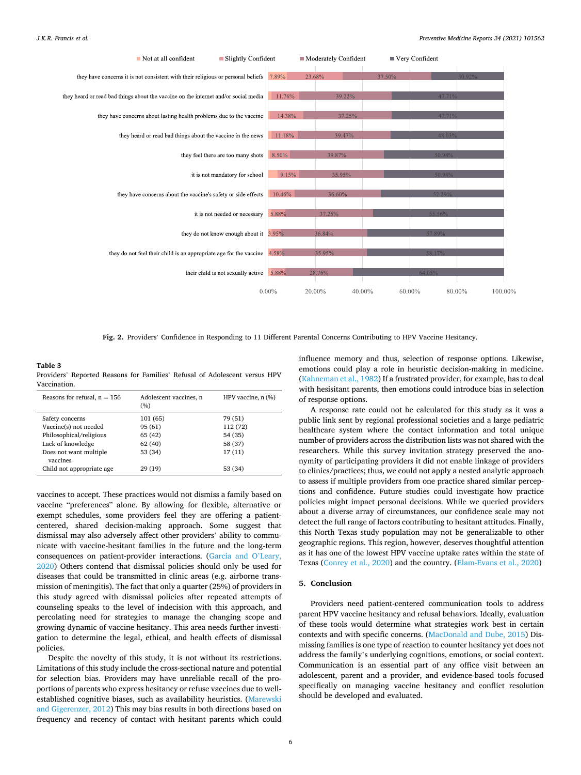<span id="page-6-0"></span>

**Fig. 2.** Providers' Confidence in Responding to 11 Different Parental Concerns Contributing to HPV Vaccine Hesitancy.

**Table 3**  Providers' Reported Reasons for Families' Refusal of Adolescent versus HPV Vaccination.

| Reasons for refusal, $n = 156$     | Adolescent vaccines, n<br>(%) | HPV vaccine, n (%) |
|------------------------------------|-------------------------------|--------------------|
| Safety concerns                    | 101 (65)                      | 79 (51)            |
| Vaccine(s) not needed              | 95 (61)                       | 112 (72)           |
| Philosophical/religious            | 65 (42)                       | 54 (35)            |
| Lack of knowledge                  | 62 (40)                       | 58 (37)            |
| Does not want multiple<br>vaccines | 53 (34)                       | 17 (11)            |
| Child not appropriate age.         | 29 (19)                       | 53 (34)            |

vaccines to accept. These practices would not dismiss a family based on vaccine "preferences" alone. By allowing for flexible, alternative or exempt schedules, some providers feel they are offering a patientcentered, shared decision-making approach. Some suggest that dismissal may also adversely affect other providers' ability to communicate with vaccine-hesitant families in the future and the long-term consequences on patient-provider interactions. [\(Garcia and O](#page-8-0)'Leary, [2020\)](#page-8-0) Others contend that dismissal policies should only be used for diseases that could be transmitted in clinic areas (e.g. airborne transmission of meningitis). The fact that only a quarter (25%) of providers in this study agreed with dismissal policies after repeated attempts of counseling speaks to the level of indecision with this approach, and percolating need for strategies to manage the changing scope and growing dynamic of vaccine hesitancy. This area needs further investigation to determine the legal, ethical, and health effects of dismissal policies.

Despite the novelty of this study, it is not without its restrictions. Limitations of this study include the cross-sectional nature and potential for selection bias. Providers may have unreliable recall of the proportions of parents who express hesitancy or refuse vaccines due to wellestablished cognitive biases, such as availability heuristics. [\(Marewski](#page-8-0)  [and Gigerenzer, 2012](#page-8-0)) This may bias results in both directions based on frequency and recency of contact with hesitant parents which could

influence memory and thus, selection of response options. Likewise, emotions could play a role in heuristic decision-making in medicine. ([Kahneman et al., 1982\)](#page-8-0) If a frustrated provider, for example, has to deal with hesisitant parents, then emotions could introduce bias in selection of response options.

A response rate could not be calculated for this study as it was a public link sent by regional professional societies and a large pediatric healthcare system where the contact information and total unique number of providers across the distribution lists was not shared with the researchers. While this survey invitation strategy preserved the anonymity of participating providers it did not enable linkage of providers to clinics/practices; thus, we could not apply a nested analytic approach to assess if multiple providers from one practice shared similar perceptions and confidence. Future studies could investigate how practice policies might impact personal decisions. While we queried providers about a diverse array of circumstances, our confidence scale may not detect the full range of factors contributing to hesitant attitudes. Finally, this North Texas study population may not be generalizable to other geographic regions. This region, however, deserves thoughtful attention as it has one of the lowest HPV vaccine uptake rates within the state of Texas ([Conrey et al., 2020\)](#page-7-0) and the country. ([Elam-Evans et al., 2020](#page-7-0))

### **5. Conclusion**

Providers need patient-centered communication tools to address parent HPV vaccine hesitancy and refusal behaviors. Ideally, evaluation of these tools would determine what strategies work best in certain contexts and with specific concerns. ([MacDonald and Dube, 2015\)](#page-8-0) Dismissing families is one type of reaction to counter hesitancy yet does not address the family's underlying cognitions, emotions, or social context. Communication is an essential part of any office visit between an adolescent, parent and a provider, and evidence-based tools focused specifically on managing vaccine hesitancy and conflict resolution should be developed and evaluated.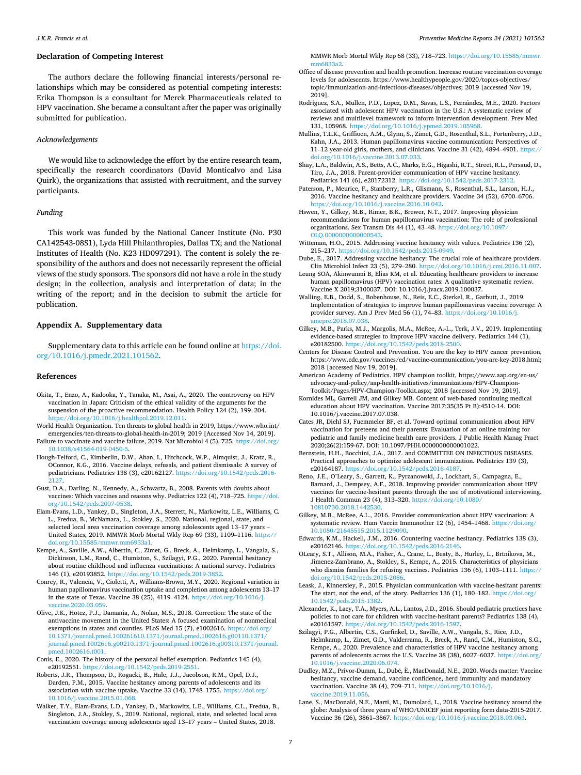### <span id="page-7-0"></span>**Declaration of Competing Interest**

The authors declare the following financial interests/personal relationships which may be considered as potential competing interests: Erika Thompson is a consultant for Merck Pharmaceuticals related to HPV vaccination. She became a consultant after the paper was originally submitted for publication.

#### *Acknowledgements*

We would like to acknowledge the effort by the entire research team, specifically the research coordinators (David Monticalvo and Lisa Quirk), the organizations that assisted with recruitment, and the survey participants.

## *Funding*

This work was funded by the National Cancer Institute (No. P30 CA142543-08S1), Lyda Hill Philanthropies, Dallas TX; and the National Institutes of Health (No. K23 HD097291). The content is solely the responsibility of the authors and does not necessarily represent the official views of the study sponsors. The sponsors did not have a role in the study design; in the collection, analysis and interpretation of data; in the writing of the report; and in the decision to submit the article for publication.

## **Appendix A. Supplementary data**

Supplementary data to this article can be found online at [https://doi.](https://doi.org/10.1016/j.pmedr.2021.101562)  [org/10.1016/j.pmedr.2021.101562.](https://doi.org/10.1016/j.pmedr.2021.101562)

#### **References**

- Okita, T., Enzo, A., Kadooka, Y., Tanaka, M., Asai, A., 2020. The controversy on HPV vaccination in Japan: Criticism of the ethical validity of the arguments for the suspension of the proactive recommendation. Health Policy 124 (2), 199–204. <https://doi.org/10.1016/j.healthpol.2019.12.011>.
- World Health Organization. Ten threats to global health in 2019, https://www.who.int/ emergencies/ten-threats-to-global-health-in-2019; 2019 [Accessed Nov 14, 2019].
- Failure to vaccinate and vaccine failure, 2019. Nat Microbiol 4 (5), 725. https://doi.org/ 10.1038/s41564-019-0450-
- Hough-Telford, C., Kimberlin, D.W., Aban, I., Hitchcock, W.P., Almquist, J., Kratz, R., OConnor, K.G., 2016. Vaccine delays, refusals, and patient dismissals: A survey of pediatricians. Pediatrics 138 (3), e20162127. [https://doi.org/10.1542/peds.2016-](https://doi.org/10.1542/peds.2016-2127)
- [2127.](https://doi.org/10.1542/peds.2016-2127) Gust, D.A., Darling, N., Kennedy, A., Schwartz, B., 2008. Parents with doubts about vaccines: Which vaccines and reasons why. Pediatrics 122 (4), 718–725. [https://doi.](https://doi.org/10.1542/peds.2007-0538)  [org/10.1542/peds.2007-0538.](https://doi.org/10.1542/peds.2007-0538)
- Elam-Evans, L.D., Yankey, D., Singleton, J.A., Sterrett, N., Markowitz, L.E., Williams, C. L., Fredua, B., McNamara, L., Stokley, S., 2020. National, regional, state, and selected local area vaccination coverage among adolescents aged 13–17 years – United States, 2019. MMWR Morb Mortal Wkly Rep 69 (33), 1109–1116. [https://](https://doi.org/10.15585/mmwr.mm6933a1)  [doi.org/10.15585/mmwr.mm6933a1.](https://doi.org/10.15585/mmwr.mm6933a1)
- Kempe, A., Saville, A.W., Albertin, C., Zimet, G., Breck, A., Helmkamp, L., Vangala, S., Dickinson, L.M., Rand, C., Humiston, S., Szilagyi, P.G., 2020. Parental hesitancy about routine childhood and influenza vaccinations: A national survey. Pediatrics 146 (1), e20193852. [https://doi.org/10.1542/peds.2019-3852.](https://doi.org/10.1542/peds.2019-3852)
- Conrey, R., Valencia, V., Cioletti, A., Williams-Brown, M.Y., 2020. Regional variation in human papillomavirus vaccination uptake and completion among adolescents 13–17 in the state of Texas. Vaccine 38 (25), 4119–4124. [https://doi.org/10.1016/j.](https://doi.org/10.1016/j.vaccine.2020.03.059)  [vaccine.2020.03.059](https://doi.org/10.1016/j.vaccine.2020.03.059).
- Olive, J.K., Hotez, P.J., Damania, A., Nolan, M.S., 2018. Correction: The state of the antivaccine movement in the United States: A focused examination of nonmedical exemptions in states and counties. PLoS Med 15 (7), e1002616. [https://doi.org/](https://doi.org/10.1371/journal.pmed.100261610.1371/journal.pmed.1002616.g00110.1371/journal.pmed.1002616.g00210.1371/journal.pmed.1002616.g00310.1371/journal.pmed.1002616.t001)  [10.1371/journal.pmed.100261610.1371/journal.pmed.1002616.g00110.1371/](https://doi.org/10.1371/journal.pmed.100261610.1371/journal.pmed.1002616.g00110.1371/journal.pmed.1002616.g00210.1371/journal.pmed.1002616.g00310.1371/journal.pmed.1002616.t001) [journal.pmed.1002616.g00210.1371/journal.pmed.1002616.g00310.1371/journal.](https://doi.org/10.1371/journal.pmed.100261610.1371/journal.pmed.1002616.g00110.1371/journal.pmed.1002616.g00210.1371/journal.pmed.1002616.g00310.1371/journal.pmed.1002616.t001) [pmed.1002616.t001.](https://doi.org/10.1371/journal.pmed.100261610.1371/journal.pmed.1002616.g00110.1371/journal.pmed.1002616.g00210.1371/journal.pmed.1002616.g00310.1371/journal.pmed.1002616.t001)
- Conis, E., 2020. The history of the personal belief exemption. Pediatrics 145 (4), e20192551.<https://doi.org/10.1542/peds.2019-2551>.
- Roberts, J.R., Thompson, D., Rogacki, B., Hale, J.J., Jacobson, R.M., Opel, D.J., Darden, P.M., 2015. Vaccine hesitancy among parents of adolescents and its association with vaccine uptake. Vaccine 33 (14), 1748–1755. [https://doi.org/](https://doi.org/10.1016/j.vaccine.2015.01.068)  [10.1016/j.vaccine.2015.01.068.](https://doi.org/10.1016/j.vaccine.2015.01.068)
- Walker, T.Y., Elam-Evans, L.D., Yankey, D., Markowitz, L.E., Williams, C.L., Fredua, B., Singleton, J.A., Stokley, S., 2019. National, regional, state, and selected local area vaccination coverage among adolescents aged 13–17 years – United States, 2018.

MMWR Morb Mortal Wkly Rep 68 (33), 718–723. [https://doi.org/10.15585/mmwr.](https://doi.org/10.15585/mmwr.mm6833a2)  [mm6833a2.](https://doi.org/10.15585/mmwr.mm6833a2)

- Office of disease prevention and health promotion. Increase routine vaccination coverage levels for adolescents. https://www.healthypeople.gov/2020/topics-objectives/ topic/immunization-and-infectious-diseases/objectives; 2019 [accessed Nov 19, 2019].
- Rodriguez, S.A., Mullen, P.D., Lopez, D.M., Savas, L.S., Fernández, M.E., 2020. Factors associated with adolescent HPV vaccination in the U.S.: A systematic review of reviews and multilevel framework to inform intervention development. Prev Med 131, 105968. [https://doi.org/10.1016/j.ypmed.2019.105968.](https://doi.org/10.1016/j.ypmed.2019.105968)
- Mullins, T.L.K., Griffioen, A.M., Glynn, S., Zimet, G.D., Rosenthal, S.L., Fortenberry, J.D., Kahn, J.A., 2013. Human papillomavirus vaccine communication: Perspectives of 11–12 year-old girls, mothers, and clinicians. Vaccine 31 (42), 4894–4901. [https://](https://doi.org/10.1016/j.vaccine.2013.07.033)  [doi.org/10.1016/j.vaccine.2013.07.033.](https://doi.org/10.1016/j.vaccine.2013.07.033)
- Shay, L.A., Baldwin, A.S., Betts, A.C., Marks, E.G., Higashi, R.T., Street, R.L., Persaud, D., Tiro, J.A., 2018. Parent-provider communication of HPV vaccine hesitancy. Pediatrics 141 (6), e20172312.<https://doi.org/10.1542/peds.2017-2312>.
- Paterson, P., Meurice, F., Stanberry, L.R., Glismann, S., Rosenthal, S.L., Larson, H.J., 2016. Vaccine hesitancy and healthcare providers. Vaccine 34 (52), 6700–6706. [https://doi.org/10.1016/j.vaccine.2016.10.042.](https://doi.org/10.1016/j.vaccine.2016.10.042)
- Hswen, Y., Gilkey, M.B., Rimer, B.K., Brewer, N.T., 2017. Improving physician recommendations for human papillomavirus vaccination: The role of professional organizations. Sex Transm Dis 44 (1), 43–48. [https://doi.org/10.1097/](https://doi.org/10.1097/OLQ.0000000000000543) [OLQ.0000000000000543.](https://doi.org/10.1097/OLQ.0000000000000543)
- Witteman, H.O., 2015. Addressing vaccine hesitancy with values. Pediatrics 136 (2), 215–217. <https://doi.org/10.1542/peds.2015-0949>.
- Dube, E., 2017. Addressing vaccine hesitancy: The crucial role of healthcare providers. Clin Microbiol Infect 23 (5), 279–280. <https://doi.org/10.1016/j.cmi.2016.11.007>.
- Leung SOA, Akinwunmi B, Elias KM, et al. Educating healthcare providers to increase human papillomavirus (HPV) vaccination rates: A qualitative systematic review. Vaccine X 2019;3100037. DOI: 10.1016/j.jvacx.2019.100037.
- Walling, E.B., Dodd, S., Bobenhouse, N., Reis, E.C., Sterkel, R., Garbutt, J., 2019. Implementation of strategies to improve human papillomavirus vaccine coverage: A provider survey. Am J Prev Med 56 (1), 74–83. [https://doi.org/10.1016/j.](https://doi.org/10.1016/j.amepre.2018.07.038)  [amepre.2018.07.038](https://doi.org/10.1016/j.amepre.2018.07.038).
- Gilkey, M.B., Parks, M.J., Margolis, M.A., McRee, A.-L., Terk, J.V., 2019. Implementing evidence-based strategies to improve HPV vaccine delivery. Pediatrics 144 (1), e20182500.<https://doi.org/10.1542/peds.2018-2500>.
- Centers for Disease Control and Prevention. You are the key to HPV cancer prevention, https://www.cdc.gov/vaccines/ed/vaccine-communication/you-are-key-2018.html; 2018 [accessed Nov 19, 2019].
- American Academy of Pediatrics. HPV champion toolkit, https://www.aap.org/en-us/ advocacy-and-policy/aap-health-initiatives/immunizations/HPV-Champion-Toolkit/Pages/HPV-Champion-Toolkit.aspx; 2018 [accessed Nov 19, 2019].
- Kornides ML, Garrell JM, and Gilkey MB. Content of web-based continuing medical education about HPV vaccination. Vaccine 2017;35(35 Pt B):4510-14. DOI: 10.1016/j.vaccine.2017.07.038.
- Cates JR, Diehl SJ, Fuemmeler BF, et al. Toward optimal communication about HPV vaccination for preteens and their parents: Evaluation of an online training for pediatric and family medicine health care providers. J Public Health Manag Pract 2020;26(2):159-67. DOI: 10.1097/PHH.0000000000001022.
- Bernstein, H.H., Bocchini, J.A., 2017. and COMMITTEE ON INFECTIOUS DISEASES. Practical approaches to optimize adolescent immunization. Pediatrics 139 (3), e20164187.<https://doi.org/10.1542/peds.2016-4187>.
- Reno, J.E., O'Leary, S., Garrett, K., Pyrzanowski, J., Lockhart, S., Campagna, E., Barnard, J., Dempsey, A.F., 2018. Improving provider communication about HPV vaccines for vaccine-hesitant parents through the use of motivational interviewing. J Health Commun 23 (4), 313–320. [https://doi.org/10.1080/](https://doi.org/10.1080/10810730.2018.1442530) [10810730.2018.1442530](https://doi.org/10.1080/10810730.2018.1442530).
- Gilkey, M.B., McRee, A.L., 2016. Provider communication about HPV vaccination: A systematic review. Hum Vaccin Immunother 12 (6), 1454-1468. [https://doi.org/](https://doi.org/10.1080/21645515.2015.1129090) [10.1080/21645515.2015.1129090.](https://doi.org/10.1080/21645515.2015.1129090)
- Edwards, K.M., Hackell, J.M., 2016. Countering vaccine hesitancy. Pediatrics 138 (3), e20162146.<https://doi.org/10.1542/peds.2016-2146>.
- OLeary, S.T., Allison, M.A., Fisher, A., Crane, L., Beaty, B., Hurley, L., Brtnikova, M., Jimenez-Zambrano, A., Stokley, S., Kempe, A., 2015. Characteristics of physicians who dismiss families for refusing vaccines. Pediatrics 136 (6), 1103–1111. [https://](https://doi.org/10.1542/peds.2015-2086) [doi.org/10.1542/peds.2015-2086.](https://doi.org/10.1542/peds.2015-2086)
- Leask, J., Kinnersley, P., 2015. Physician communication with vaccine-hesitant parents: The start, not the end, of the story. Pediatrics 136 (1), 180-182. https://doi.org [10.1542/peds.2015-1382](https://doi.org/10.1542/peds.2015-1382).
- Alexander, K., Lacy, T.A., Myers, A.L., Lantos, J.D., 2016. Should pediatric practices have policies to not care for children with vaccine-hesitant parents? Pediatrics 138 (4), e20161597.<https://doi.org/10.1542/peds.2016-1597>.
- Szilagyi, P.G., Albertin, C.S., Gurfinkel, D., Saville, A.W., Vangala, S., Rice, J.D., Helmkamp, L., Zimet, G.D., Valderrama, R., Breck, A., Rand, C.M., Humiston, S.G., Kempe, A., 2020. Prevalence and characteristics of HPV vaccine hesitancy among parents of adolescents across the U.S. Vaccine 38 (38), 6027-6037. https://doi.org/ [10.1016/j.vaccine.2020.06.074.](https://doi.org/10.1016/j.vaccine.2020.06.074)
- Dudley, M.Z., Privor-Dumm, L., Dubé, È., MacDonald, N.E., 2020. Words matter: Vaccine hesitancy, vaccine demand, vaccine confidence, herd immunity and mandatory vaccination. Vaccine 38 (4), 709–711. [https://doi.org/10.1016/j.](https://doi.org/10.1016/j.vaccine.2019.11.056)  [vaccine.2019.11.056](https://doi.org/10.1016/j.vaccine.2019.11.056).
- Lane, S., MacDonald, N.E., Marti, M., Dumolard, L., 2018. Vaccine hesitancy around the globe: Analysis of three years of WHO/UNICEF joint reporting form data-2015-2017. Vaccine 36 (26), 3861–3867. <https://doi.org/10.1016/j.vaccine.2018.03.063>.